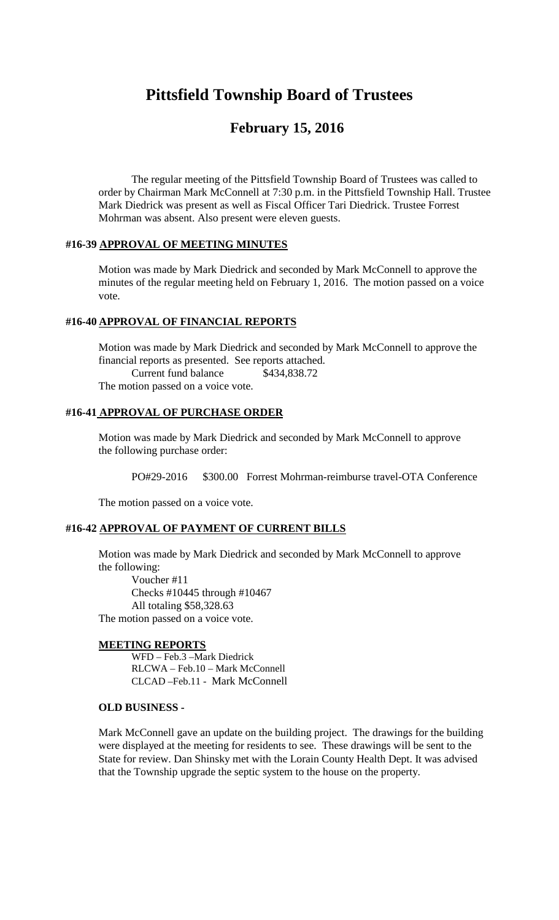# **Pittsfield Township Board of Trustees**

## **February 15, 2016**

The regular meeting of the Pittsfield Township Board of Trustees was called to order by Chairman Mark McConnell at 7:30 p.m. in the Pittsfield Township Hall. Trustee Mark Diedrick was present as well as Fiscal Officer Tari Diedrick. Trustee Forrest Mohrman was absent. Also present were eleven guests.

#### **#16-39 APPROVAL OF MEETING MINUTES**

Motion was made by Mark Diedrick and seconded by Mark McConnell to approve the minutes of the regular meeting held on February 1, 2016. The motion passed on a voice vote.

## **#16-40 APPROVAL OF FINANCIAL REPORTS**

Motion was made by Mark Diedrick and seconded by Mark McConnell to approve the financial reports as presented. See reports attached. Current fund balance \$434,838.72 The motion passed on a voice vote.

## **#16-41 APPROVAL OF PURCHASE ORDER**

Motion was made by Mark Diedrick and seconded by Mark McConnell to approve the following purchase order:

PO#29-2016 \$300.00 Forrest Mohrman-reimburse travel-OTA Conference

The motion passed on a voice vote.

#### **#16-42 APPROVAL OF PAYMENT OF CURRENT BILLS**

Motion was made by Mark Diedrick and seconded by Mark McConnell to approve the following:

Voucher #11 Checks #10445 through #10467 All totaling \$58,328.63 The motion passed on a voice vote.

#### **MEETING REPORTS**

WFD – Feb.3 –Mark Diedrick RLCWA – Feb.10 – Mark McConnell CLCAD –Feb.11 - Mark McConnell

#### **OLD BUSINESS -**

Mark McConnell gave an update on the building project. The drawings for the building were displayed at the meeting for residents to see. These drawings will be sent to the State for review. Dan Shinsky met with the Lorain County Health Dept. It was advised that the Township upgrade the septic system to the house on the property.